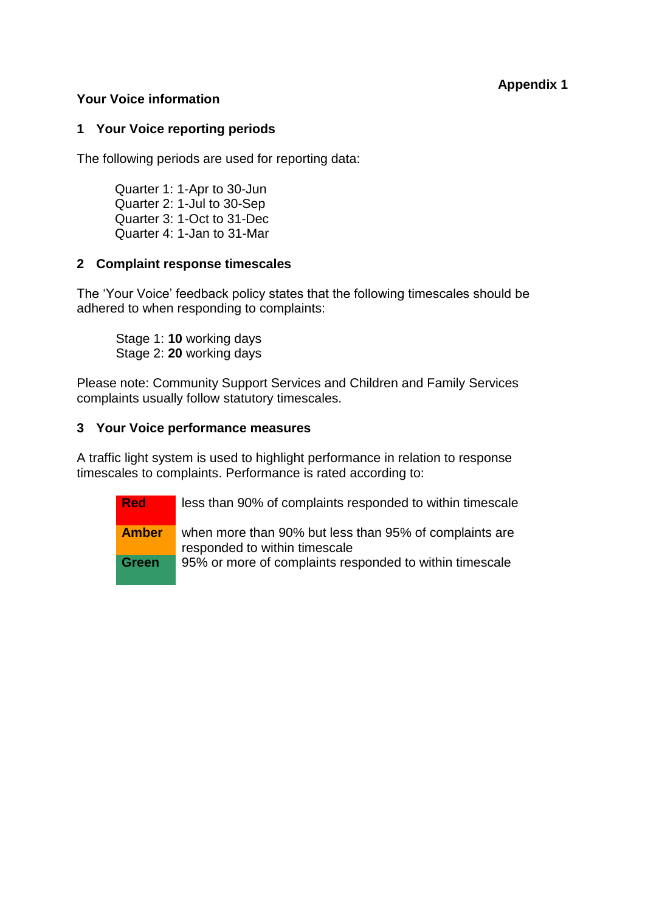# **Appendix 1**

### **Your Voice information**

### **1 Your Voice reporting periods**

The following periods are used for reporting data:

Quarter 1: 1-Apr to 30-Jun Quarter 2: 1-Jul to 30-Sep Quarter 3: 1-Oct to 31-Dec Quarter 4: 1-Jan to 31-Mar

### **2 Complaint response timescales**

The 'Your Voice' feedback policy states that the following timescales should be adhered to when responding to complaints:

Stage 1: **10** working days Stage 2: **20** working days

Please note: Community Support Services and Children and Family Services complaints usually follow statutory timescales.

### **3 Your Voice performance measures**

A traffic light system is used to highlight performance in relation to response timescales to complaints. Performance is rated according to:

**Red** less than 90% of complaints responded to within timescale

**Amber** when more than 90% but less than 95% of complaints are responded to within timescale

**Green** 95% or more of complaints responded to within timescale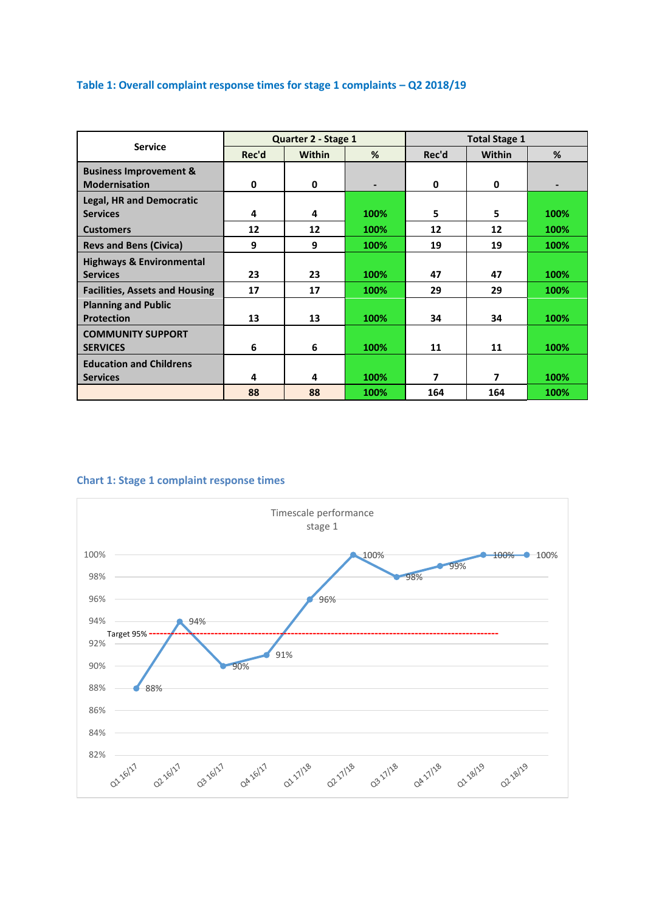## **Table 1: Overall complaint response times for stage 1 complaints – Q2 2018/19**

| <b>Service</b>                        |       | Quarter 2 - Stage 1 |      | <b>Total Stage 1</b> |        |      |  |
|---------------------------------------|-------|---------------------|------|----------------------|--------|------|--|
|                                       | Rec'd | <b>Within</b>       | %    | Rec'd                | Within | %    |  |
| <b>Business Improvement &amp;</b>     |       |                     |      |                      |        |      |  |
| <b>Modernisation</b>                  | 0     | 0                   |      | 0                    | 0      |      |  |
| <b>Legal, HR and Democratic</b>       |       |                     |      |                      |        |      |  |
| <b>Services</b>                       | 4     | 4                   | 100% | 5                    | 5      | 100% |  |
| <b>Customers</b>                      | 12    | 12                  | 100% | 12                   | 12     | 100% |  |
| <b>Revs and Bens (Civica)</b>         | 9     | 9                   | 100% | 19                   | 19     | 100% |  |
| <b>Highways &amp; Environmental</b>   |       |                     |      |                      |        |      |  |
| <b>Services</b>                       | 23    | 23                  | 100% | 47                   | 47     | 100% |  |
| <b>Facilities, Assets and Housing</b> | 17    | 17                  | 100% | 29                   | 29     | 100% |  |
| <b>Planning and Public</b>            |       |                     |      |                      |        |      |  |
| <b>Protection</b>                     | 13    | 13                  | 100% | 34                   | 34     | 100% |  |
| <b>COMMUNITY SUPPORT</b>              |       |                     |      |                      |        |      |  |
| <b>SERVICES</b>                       | 6     | 6                   | 100% | 11                   | 11     | 100% |  |
| <b>Education and Childrens</b>        |       |                     |      |                      |        |      |  |
| <b>Services</b>                       | 4     | 4                   | 100% | $\overline{7}$       | 7      | 100% |  |
|                                       | 88    | 88                  | 100% | 164                  | 164    | 100% |  |

#### **Chart 1: Stage 1 complaint response times**

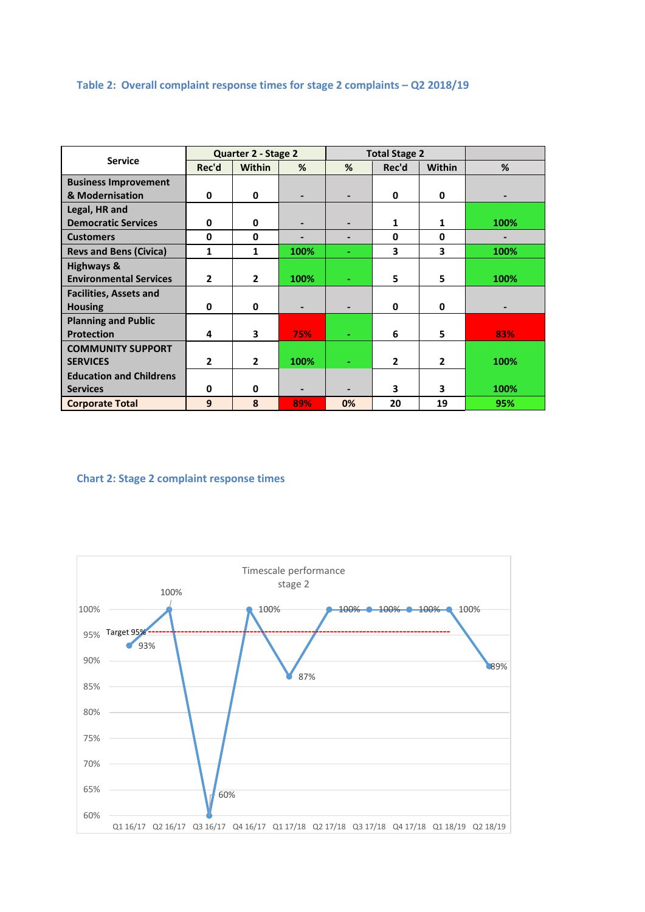## **Table 2: Overall complaint response times for stage 2 complaints – Q2 2018/19**

| <b>Service</b>                 | Quarter 2 - Stage 2 |               |                          | <b>Total Stage 2</b>     |              |                |                          |
|--------------------------------|---------------------|---------------|--------------------------|--------------------------|--------------|----------------|--------------------------|
|                                | Rec'd               | <b>Within</b> | %                        | %                        | Rec'd        | <b>Within</b>  | %                        |
| <b>Business Improvement</b>    |                     |               |                          |                          |              |                |                          |
| & Modernisation                | 0                   | 0             |                          | $\overline{\phantom{0}}$ | 0            | 0              | $\overline{\phantom{0}}$ |
| Legal, HR and                  |                     |               |                          |                          |              |                |                          |
| <b>Democratic Services</b>     | 0                   | 0             |                          |                          | 1            | 1              | 100%                     |
| <b>Customers</b>               | 0                   | 0             |                          | -                        | 0            | 0              |                          |
| <b>Revs and Bens (Civica)</b>  | 1                   | 1             | 100%                     | ٠                        | 3            | 3              | 100%                     |
| <b>Highways &amp;</b>          |                     |               |                          |                          |              |                |                          |
| <b>Environmental Services</b>  | $\overline{2}$      | $\mathbf{2}$  | 100%                     |                          | 5            | 5              | 100%                     |
| <b>Facilities, Assets and</b>  |                     |               |                          |                          |              |                |                          |
| <b>Housing</b>                 | 0                   | 0             | $\blacksquare$           | -                        | 0            | 0              | $\overline{\phantom{0}}$ |
| <b>Planning and Public</b>     |                     |               |                          |                          |              |                |                          |
| <b>Protection</b>              | 4                   | 3             | 75%                      |                          | 6            | 5              | 83%                      |
| <b>COMMUNITY SUPPORT</b>       |                     |               |                          |                          |              |                |                          |
| <b>SERVICES</b>                | $\mathbf{2}$        | $\mathbf{2}$  | 100%                     | ÷.                       | $\mathbf{2}$ | $\overline{2}$ | 100%                     |
| <b>Education and Childrens</b> |                     |               |                          |                          |              |                |                          |
| <b>Services</b>                | 0                   | 0             | $\overline{\phantom{a}}$ |                          | 3            | 3              | 100%                     |
| <b>Corporate Total</b>         | 9                   | 8             | 89%                      | 0%                       | 20           | 19             | 95%                      |

#### **Chart 2: Stage 2 complaint response times**

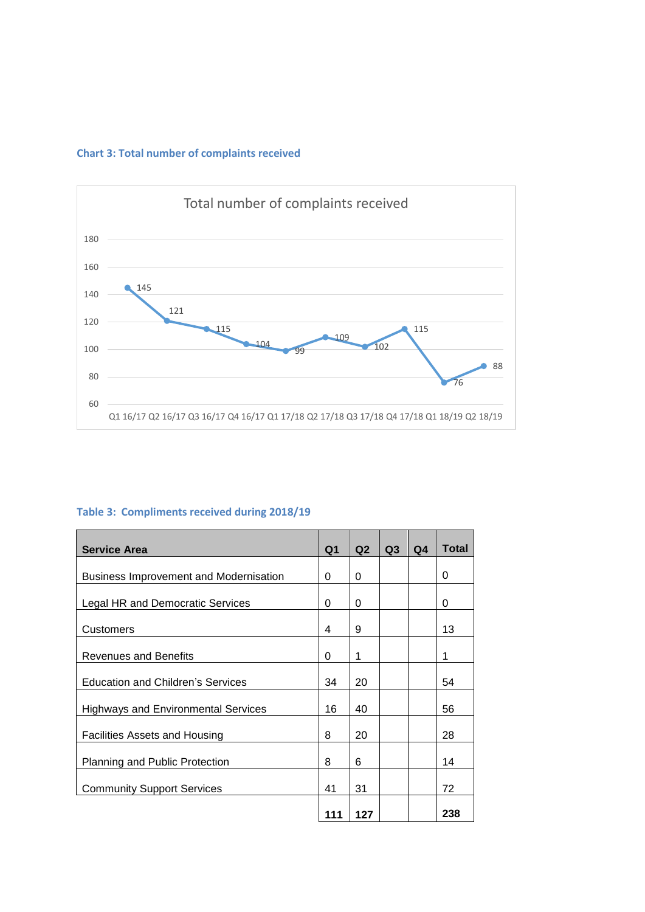## **Chart 3: Total number of complaints received**



# **Table 3: Compliments received during 2018/19**

| <b>Service Area</b>                           | Q <sub>1</sub> | Q2  | Q <sub>3</sub> | Q4 | <b>Total</b> |
|-----------------------------------------------|----------------|-----|----------------|----|--------------|
| <b>Business Improvement and Modernisation</b> | 0              | 0   |                |    | 0            |
| Legal HR and Democratic Services              | 0              | 0   |                |    | 0            |
| Customers                                     | 4              | 9   |                |    | 13           |
|                                               |                |     |                |    |              |
| <b>Revenues and Benefits</b>                  | 0              | 1   |                |    | 1            |
| <b>Education and Children's Services</b>      | 34             | 20  |                |    | 54           |
| <b>Highways and Environmental Services</b>    | 16             | 40  |                |    | 56           |
| Facilities Assets and Housing                 | 8              | 20  |                |    | 28           |
| <b>Planning and Public Protection</b>         | 8              | 6   |                |    | 14           |
| <b>Community Support Services</b>             | 41             | 31  |                |    | 72           |
|                                               | 111            | 127 |                |    | 238          |